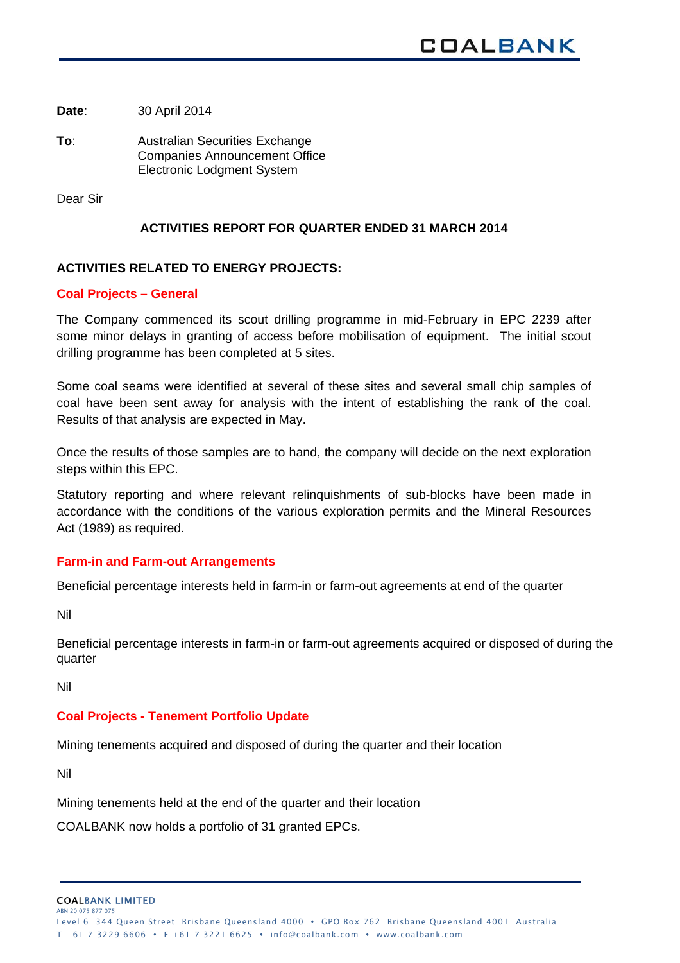**Date**: 30 April 2014

**To**: Australian Securities Exchange Companies Announcement Office Electronic Lodgment System

Dear Sir

### **ACTIVITIES REPORT FOR QUARTER ENDED 31 MARCH 2014**

# **ACTIVITIES RELATED TO ENERGY PROJECTS:**

#### **Coal Projects – General**

The Company commenced its scout drilling programme in mid-February in EPC 2239 after some minor delays in granting of access before mobilisation of equipment. The initial scout drilling programme has been completed at 5 sites.

Some coal seams were identified at several of these sites and several small chip samples of coal have been sent away for analysis with the intent of establishing the rank of the coal. Results of that analysis are expected in May.

Once the results of those samples are to hand, the company will decide on the next exploration steps within this EPC.

Statutory reporting and where relevant relinquishments of sub-blocks have been made in accordance with the conditions of the various exploration permits and the Mineral Resources Act (1989) as required.

#### **Farm-in and Farm-out Arrangements**

Beneficial percentage interests held in farm-in or farm-out agreements at end of the quarter

Nil

Beneficial percentage interests in farm-in or farm-out agreements acquired or disposed of during the quarter

Nil

#### **Coal Projects - Tenement Portfolio Update**

Mining tenements acquired and disposed of during the quarter and their location

Nil

Mining tenements held at the end of the quarter and their location

COALBANK now holds a portfolio of 31 granted EPCs.

COALBANK LIMITED ABN 20 075 877 07